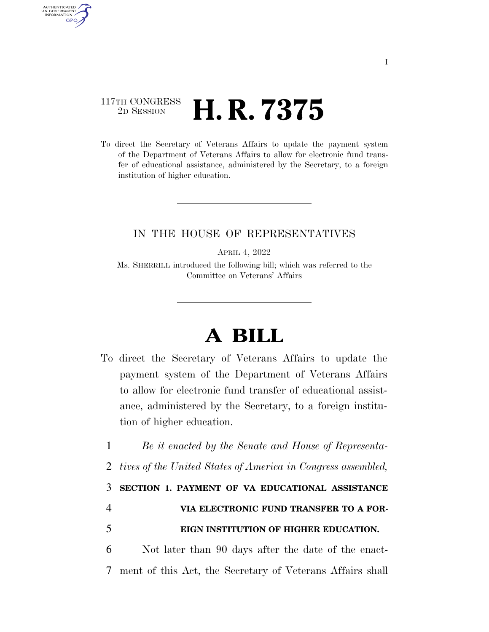## 117TH CONGRESS <sup>2D SESSION</sup> **H. R. 7375**

AUTHENTICATED U.S. GOVERNMENT **GPO** 

> To direct the Secretary of Veterans Affairs to update the payment system of the Department of Veterans Affairs to allow for electronic fund transfer of educational assistance, administered by the Secretary, to a foreign institution of higher education.

## IN THE HOUSE OF REPRESENTATIVES

APRIL 4, 2022

Ms. SHERRILL introduced the following bill; which was referred to the Committee on Veterans' Affairs

## **A BILL**

To direct the Secretary of Veterans Affairs to update the payment system of the Department of Veterans Affairs to allow for electronic fund transfer of educational assistance, administered by the Secretary, to a foreign institution of higher education.

 *Be it enacted by the Senate and House of Representa- tives of the United States of America in Congress assembled,*  **SECTION 1. PAYMENT OF VA EDUCATIONAL ASSISTANCE VIA ELECTRONIC FUND TRANSFER TO A FOR-**

## 5 **EIGN INSTITUTION OF HIGHER EDUCATION.**

6 Not later than 90 days after the date of the enact-7 ment of this Act, the Secretary of Veterans Affairs shall